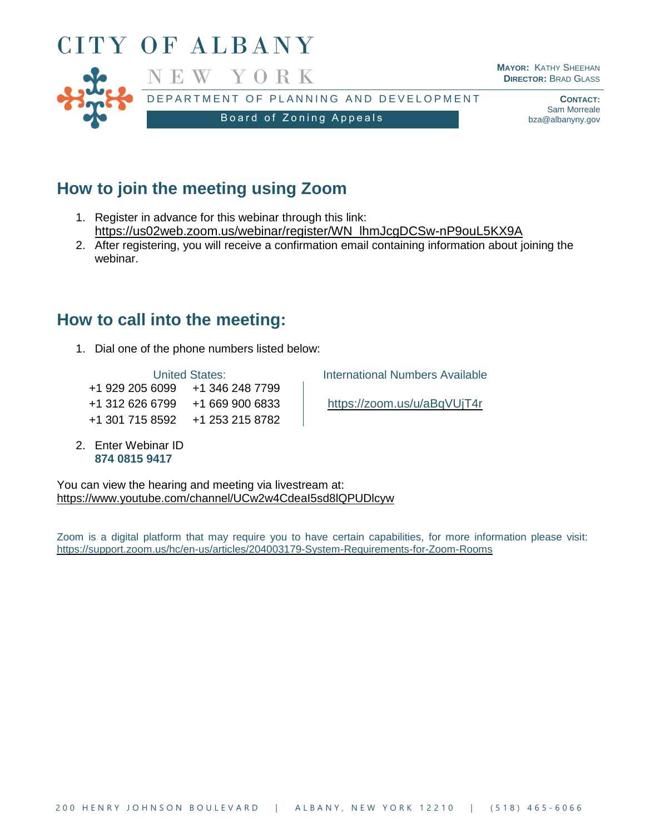

## **How to join the meeting using Zoom**

- 1. Register in advance for this webinar through this link: [https://us02web.zoom.us/webinar/register/WN\\_lhmJcgDCSw-nP9ouL5KX9A](https://us02web.zoom.us/webinar/register/WN_lhmJcgDCSw-nP9ouL5KX9A)
- 2. After registering, you will receive a confirmation email containing information about joining the webinar.

## **How to call into the meeting:**

1. Dial one of the phone numbers listed below:

+1 929 205 6099 +1 346 248 7799 +1 312 626 6799 +1 669 900 6833 <https://zoom.us/u/aBqVUjT4r> +1 301 715 8592 +1 253 215 8782

2. Enter Webinar ID **874 0815 9417**

United States: **International Numbers Available** 

You can view the hearing and meeting via livestream at: <https://www.youtube.com/channel/UCw2w4CdeaI5sd8lQPUDlcyw>

Zoom is a digital platform that may require you to have certain capabilities, for more information please visit: <https://support.zoom.us/hc/en-us/articles/204003179-System-Requirements-for-Zoom-Rooms>